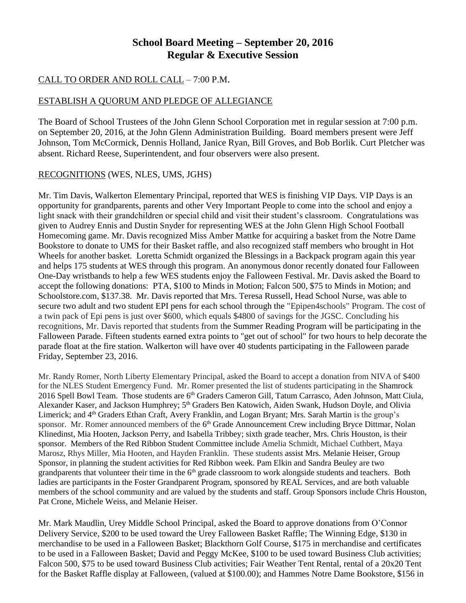# **School Board Meeting – September 20, 2016 Regular & Executive Session**

## CALL TO ORDER AND ROLL CALL – 7:00 P.M.

## ESTABLISH A QUORUM AND PLEDGE OF ALLEGIANCE

The Board of School Trustees of the John Glenn School Corporation met in regular session at 7:00 p.m. on September 20, 2016, at the John Glenn Administration Building. Board members present were Jeff Johnson, Tom McCormick, Dennis Holland, Janice Ryan, Bill Groves, and Bob Borlik. Curt Pletcher was absent. Richard Reese, Superintendent, and four observers were also present.

## RECOGNITIONS (WES, NLES, UMS, JGHS)

Mr. Tim Davis, Walkerton Elementary Principal, reported that WES is finishing VIP Days. VIP Days is an opportunity for grandparents, parents and other Very Important People to come into the school and enjoy a light snack with their grandchildren or special child and visit their student's classroom. Congratulations was given to Audrey Ennis and Dustin Snyder for representing WES at the John Glenn High School Football Homecoming game. Mr. Davis recognized Miss Amber Mattke for acquiring a basket from the Notre Dame Bookstore to donate to UMS for their Basket raffle, and also recognized staff members who brought in Hot Wheels for another basket. Loretta Schmidt organized the Blessings in a Backpack program again this year and helps 175 students at WES through this program. An anonymous donor recently donated four Falloween One-Day wristbands to help a few WES students enjoy the Falloween Festival. Mr. Davis asked the Board to accept the following donations: PTA, \$100 to Minds in Motion; Falcon 500, \$75 to Minds in Motion; and Schoolstore.com, \$137.38. Mr. Davis reported that Mrs. Teresa Russell, Head School Nurse, was able to secure two adult and two student EPI pens for each school through the "Epipen4schools" Program. The cost of a twin pack of Epi pens is just over \$600, which equals \$4800 of savings for the JGSC. Concluding his recognitions, Mr. Davis reported that students from the Summer Reading Program will be participating in the Falloween Parade. Fifteen students earned extra points to "get out of school" for two hours to help decorate the parade float at the fire station. Walkerton will have over 40 students participating in the Falloween parade Friday, September 23, 2016.

Mr. Randy Romer, North Liberty Elementary Principal, asked the Board to accept a donation from NIVA of \$400 for the NLES Student Emergency Fund. Mr. Romer presented the list of students participating in the Shamrock 2016 Spell Bowl Team. Those students are 6<sup>th</sup> Graders Cameron Gill, Tatum Carrasco, Aden Johnson, Matt Ciula, Alexander Kaser, and Jackson Humphrey; 5<sup>th</sup> Graders Ben Katowich, Aiden Swank, Hudson Doyle, and Olivia Limerick; and 4<sup>th</sup> Graders Ethan Craft, Avery Franklin, and Logan Bryant; Mrs. Sarah Martin is the group's sponsor. Mr. Romer announced members of the 6<sup>th</sup> Grade Announcement Crew including Bryce Dittmar, Nolan Klinedinst, Mia Hooten, Jackson Perry, and Isabella Tribbey; sixth grade teacher, Mrs. Chris Houston, is their sponsor. Members of the Red Ribbon Student Committee include Amelia Schmidt, Michael Cuthbert, Maya Marosz, Rhys Miller, Mia Hooten, and Hayden Franklin. These students assist Mrs. Melanie Heiser, Group Sponsor, in planning the student activities for Red Ribbon week. Pam Elkin and Sandra Beuley are two grandparents that volunteer their time in the 6<sup>th</sup> grade classroom to work alongside students and teachers. Both ladies are participants in the Foster Grandparent Program, sponsored by REAL Services, and are both valuable members of the school community and are valued by the students and staff. Group Sponsors include Chris Houston, Pat Crone, Michele Weiss, and Melanie Heiser.

Mr. Mark Maudlin, Urey Middle School Principal, asked the Board to approve donations from O'Connor Delivery Service, \$200 to be used toward the Urey Falloween Basket Raffle; The Winning Edge, \$130 in merchandise to be used in a Falloween Basket; Blackthorn Golf Course, \$175 in merchandise and certificates to be used in a Falloween Basket; David and Peggy McKee, \$100 to be used toward Business Club activities; Falcon 500, \$75 to be used toward Business Club activities; Fair Weather Tent Rental, rental of a 20x20 Tent for the Basket Raffle display at Falloween, (valued at \$100.00); and Hammes Notre Dame Bookstore, \$156 in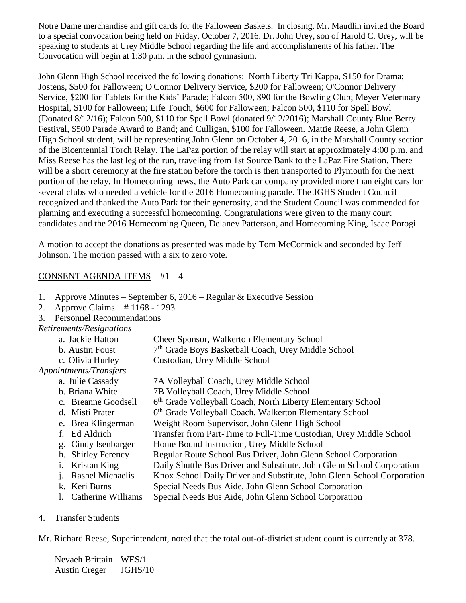Notre Dame merchandise and gift cards for the Falloween Baskets. In closing, Mr. Maudlin invited the Board to a special convocation being held on Friday, October 7, 2016. Dr. John Urey, son of Harold C. Urey, will be speaking to students at Urey Middle School regarding the life and accomplishments of his father. The Convocation will begin at 1:30 p.m. in the school gymnasium.

John Glenn High School received the following donations: North Liberty Tri Kappa, \$150 for Drama; Jostens, \$500 for Falloween; O'Connor Delivery Service, \$200 for Falloween; O'Connor Delivery Service, \$200 for Tablets for the Kids' Parade; Falcon 500, \$90 for the Bowling Club; Meyer Veterinary Hospital, \$100 for Falloween; Life Touch, \$600 for Falloween; Falcon 500, \$110 for Spell Bowl (Donated 8/12/16); Falcon 500, \$110 for Spell Bowl (donated 9/12/2016); Marshall County Blue Berry Festival, \$500 Parade Award to Band; and Culligan, \$100 for Falloween. Mattie Reese, a John Glenn High School student, will be representing John Glenn on October 4, 2016, in the Marshall County section of the Bicentennial Torch Relay. The LaPaz portion of the relay will start at approximately 4:00 p.m. and Miss Reese has the last leg of the run, traveling from 1st Source Bank to the LaPaz Fire Station. There will be a short ceremony at the fire station before the torch is then transported to Plymouth for the next portion of the relay. In Homecoming news, the Auto Park car company provided more than eight cars for several clubs who needed a vehicle for the 2016 Homecoming parade. The JGHS Student Council recognized and thanked the Auto Park for their generosity, and the Student Council was commended for planning and executing a successful homecoming. Congratulations were given to the many court candidates and the 2016 Homecoming Queen, Delaney Patterson, and Homecoming King, Isaac Porogi.

A motion to accept the donations as presented was made by Tom McCormick and seconded by Jeff Johnson. The motion passed with a six to zero vote.

#### CONSENT AGENDA ITEMS #1 – 4

- 1. Approve Minutes September 6, 2016 Regular & Executive Session
- 2. Approve Claims # 1168 1293
- 3. Personnel Recommendations

#### *Retirements/Resignations*

| a. Jackie Hatton       | <b>Cheer Sponsor, Walkerton Elementary School</b>               |  |
|------------------------|-----------------------------------------------------------------|--|
| b. Austin Foust        | 7 <sup>th</sup> Grade Boys Basketball Coach, Urey Middle School |  |
| c. Olivia Hurley       | Custodian, Urey Middle School                                   |  |
| Appointments/Transfers |                                                                 |  |
| a Iulie Cassady        | 74 Volleyhall Coach Hrey Middle School                          |  |

- a. Julie Cassady 7A Volleyball Coach, Urey Middle School
- b. Briana White 7B Volleyball Coach, Urey Middle School
- c. Breanne Goodsell 6<sup>th</sup> Grade Volleyball Coach, North Liberty Elementary School
- d. Misti Prater 6<sup>th</sup> Grade Volleyball Coach, Walkerton Elementary School
- e. Brea Klingerman Weight Room Supervisor, John Glenn High School
- f. Ed Aldrich Transfer from Part-Time to Full-Time Custodian, Urey Middle School
- g. Cindy Isenbarger Home Bound Instruction, Urey Middle School
- h. Shirley Ferency Regular Route School Bus Driver, John Glenn School Corporation
- i. Kristan King Daily Shuttle Bus Driver and Substitute, John Glenn School Corporation
- j. Rashel Michaelis Knox School Daily Driver and Substitute, John Glenn School Corporation
- k. Keri Burns Special Needs Bus Aide, John Glenn School Corporation
- l. Catherine Williams Special Needs Bus Aide, John Glenn School Corporation

#### 4. Transfer Students

Mr. Richard Reese, Superintendent, noted that the total out-of-district student count is currently at 378.

Nevaeh Brittain WES/1 Austin Creger JGHS/10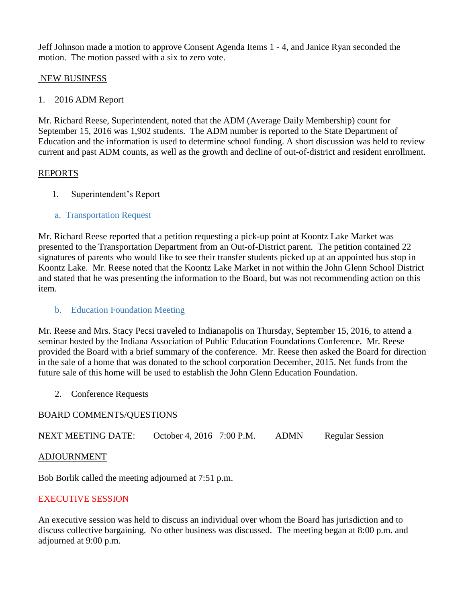Jeff Johnson made a motion to approve Consent Agenda Items 1 - 4, and Janice Ryan seconded the motion. The motion passed with a six to zero vote.

### NEW BUSINESS

1. 2016 ADM Report

Mr. Richard Reese, Superintendent, noted that the ADM (Average Daily Membership) count for September 15, 2016 was 1,902 students. The ADM number is reported to the State Department of Education and the information is used to determine school funding. A short discussion was held to review current and past ADM counts, as well as the growth and decline of out-of-district and resident enrollment.

### REPORTS

- 1. Superintendent's Report
- a. Transportation Request

Mr. Richard Reese reported that a petition requesting a pick-up point at Koontz Lake Market was presented to the Transportation Department from an Out-of-District parent. The petition contained 22 signatures of parents who would like to see their transfer students picked up at an appointed bus stop in Koontz Lake. Mr. Reese noted that the Koontz Lake Market in not within the John Glenn School District and stated that he was presenting the information to the Board, but was not recommending action on this item.

## b. Education Foundation Meeting

Mr. Reese and Mrs. Stacy Pecsi traveled to Indianapolis on Thursday, September 15, 2016, to attend a seminar hosted by the Indiana Association of Public Education Foundations Conference. Mr. Reese provided the Board with a brief summary of the conference. Mr. Reese then asked the Board for direction in the sale of a home that was donated to the school corporation December, 2015. Net funds from the future sale of this home will be used to establish the John Glenn Education Foundation.

2. Conference Requests

#### BOARD COMMENTS/QUESTIONS

NEXT MEETING DATE: October 4, 2016 7:00 P.M. ADMN Regular Session

#### ADJOURNMENT

Bob Borlik called the meeting adjourned at 7:51 p.m.

## EXECUTIVE SESSION

An executive session was held to discuss an individual over whom the Board has jurisdiction and to discuss collective bargaining. No other business was discussed. The meeting began at 8:00 p.m. and adjourned at 9:00 p.m.